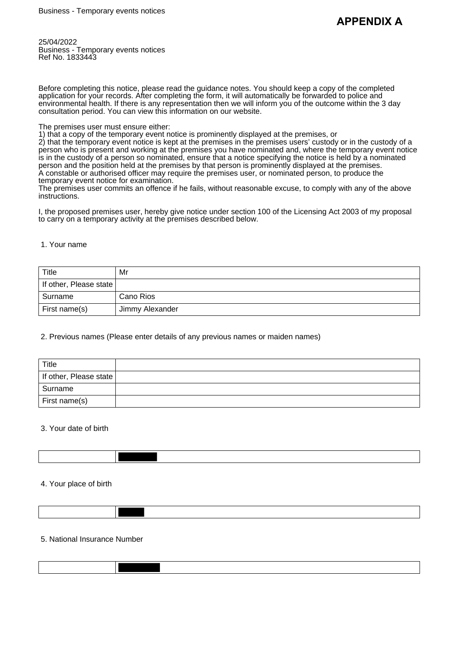25/04/2022 Business - Temporary events notices Ref No. 1833443

Before completing this notice, please read the guidance notes. You should keep a copy of the completed application for your records. After completing the form, it will automatically be forwarded to police and environmental health. If there is any representation then we will inform you of the outcome within the 3 day consultation period. You can view this information on our website.

The premises user must ensure either:

1) that a copy of the temporary event notice is prominently displayed at the premises, or

2) that the temporary event notice is kept at the premises in the premises users' custody or in the custody of a person who is present and working at the premises you have nominated and, where the temporary event notice is in the custody of a person so nominated, ensure that a notice specifying the notice is held by a nominated person and the position held at the premises by that person is prominently displayed at the premises. A constable or authorised officer may require the premises user, or nominated person, to produce the temporary event notice for examination.

The premises user commits an offence if he fails, without reasonable excuse, to comply with any of the above instructions.

I, the proposed premises user, hereby give notice under section 100 of the Licensing Act 2003 of my proposal to carry on a temporary activity at the premises described below.

### 1. Your name

| Title                  | Mr              |
|------------------------|-----------------|
| If other, Please state |                 |
| Surname                | Cano Rios       |
| First name(s)          | Jimmy Alexander |

### 2. Previous names (Please enter details of any previous names or maiden names)

| Title                  |  |
|------------------------|--|
| If other, Please state |  |
| Surname                |  |
| First name(s)          |  |

### 3. Your date of birth

## 4. Your place of birth

# 5. National Insurance Number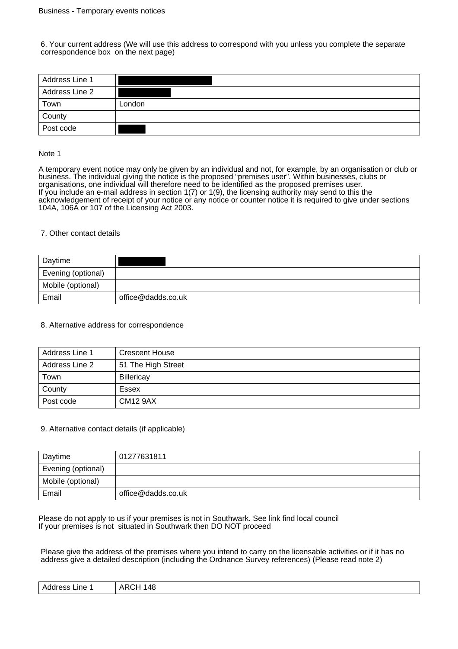6. Your current address (We will use this address to correspond with you unless you complete the separate correspondence box on the next page)

| Address Line 1 |        |
|----------------|--------|
| Address Line 2 |        |
| Town           | London |
| County         |        |
| Post code      |        |

### Note 1

A temporary event notice may only be given by an individual and not, for example, by an organisation or club or business. The individual giving the notice is the proposed "premises user". Within businesses, clubs or organisations, one individual will therefore need to be identified as the proposed premises user. If you include an e-mail address in section 1(7) or 1(9), the licensing authority may send to this the acknowledgement of receipt of your notice or any notice or counter notice it is required to give under sections 104A, 106A or 107 of the Licensing Act 2003.

### 7. Other contact details

| Daytime            |                    |
|--------------------|--------------------|
| Evening (optional) |                    |
| Mobile (optional)  |                    |
| Email              | office@dadds.co.uk |

### 8. Alternative address for correspondence

| Address Line 1 | Crescent House     |
|----------------|--------------------|
| Address Line 2 | 51 The High Street |
| Town           | <b>Billericay</b>  |
| County         | Essex              |
| Post code      | <b>CM12 9AX</b>    |

### 9. Alternative contact details (if applicable)

| Daytime            | 01277631811        |
|--------------------|--------------------|
| Evening (optional) |                    |
| Mobile (optional)  |                    |
| Email              | office@dadds.co.uk |

Please do not apply to us if your premises is not in Southwark. See link find local council If your premises is not situated in Southwark then DO NOT proceed

Please give the address of the premises where you intend to carry on the licensable activities or if it has no address give a detailed description (including the Ordnance Survey references) (Please read note 2)

| 148<br>AR'<br>Address<br>Line.<br>רע<br>$\sim$<br>the contract of the contract of the contract of |
|---------------------------------------------------------------------------------------------------|
|---------------------------------------------------------------------------------------------------|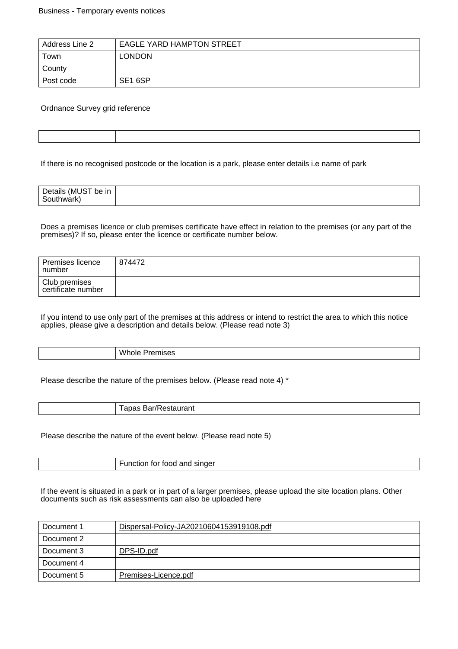| Address Line 2 | <b>EAGLE YARD HAMPTON STREET</b> |
|----------------|----------------------------------|
| Town           | <b>LONDON</b>                    |
| County         |                                  |
| Post code      | SE1 6SP                          |

# Ordnance Survey grid reference

| ,我们就会不会不会。""我们,我们就会不会不会不会。""我们,我们就会不会不会不会不会不会。""我们,我们就会不会不会不会。""我们,我们就会不会不会不会不会不 |  |
|----------------------------------------------------------------------------------|--|
|                                                                                  |  |
|                                                                                  |  |
|                                                                                  |  |
|                                                                                  |  |
|                                                                                  |  |
|                                                                                  |  |

If there is no recognised postcode or the location is a park, please enter details i.e name of park

| Details (MUST<br>be in<br>™uthwark. |  |
|-------------------------------------|--|

Does a premises licence or club premises certificate have effect in relation to the premises (or any part of the premises)? If so, please enter the licence or certificate number below.

| Premises licence<br>number          | 874472 |
|-------------------------------------|--------|
| Club premises<br>certificate number |        |

If you intend to use only part of the premises at this address or intend to restrict the area to which this notice applies, please give a description and details below. (Please read note 3)

Whole Premises

Please describe the nature of the premises below. (Please read note 4) \*

Tapas Bar/Restaurant

Please describe the nature of the event below. (Please read note 5)

Function for food and singer

If the event is situated in a park or in part of a larger premises, please upload the site location plans. Other documents such as risk assessments can also be uploaded here

| Document 1 | Dispersal-Policy-JA20210604153919108.pdf |
|------------|------------------------------------------|
| Document 2 |                                          |
| Document 3 | DPS-ID.pdf                               |
| Document 4 |                                          |
| Document 5 | Premises-Licence.pdf                     |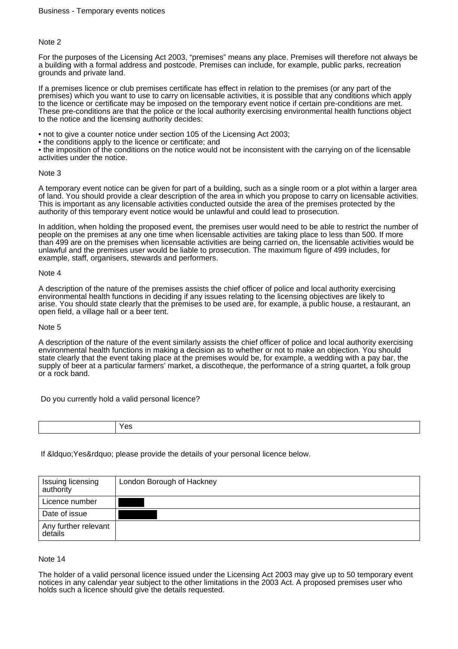For the purposes of the Licensing Act 2003, "premises" means any place. Premises will therefore not always be a building with a formal address and postcode. Premises can include, for example, public parks, recreation grounds and private land.

If a premises licence or club premises certificate has effect in relation to the premises (or any part of the premises) which you want to use to carry on licensable activities, it is possible that any conditions which apply to the licence or certificate may be imposed on the temporary event notice if certain pre-conditions are met. These pre-conditions are that the police or the local authority exercising environmental health functions object to the notice and the licensing authority decides:

- not to give a counter notice under section 105 of the Licensing Act 2003;
- the conditions apply to the licence or certificate; and

• the imposition of the conditions on the notice would not be inconsistent with the carrying on of the licensable activities under the notice.

### Note 3

A temporary event notice can be given for part of a building, such as a single room or a plot within a larger area of land. You should provide a clear description of the area in which you propose to carry on licensable activities. This is important as any licensable activities conducted outside the area of the premises protected by the authority of this temporary event notice would be unlawful and could lead to prosecution.

In addition, when holding the proposed event, the premises user would need to be able to restrict the number of people on the premises at any one time when licensable activities are taking place to less than 500. If more than 499 are on the premises when licensable activities are being carried on, the licensable activities would be unlawful and the premises user would be liable to prosecution. The maximum figure of 499 includes, for example, staff, organisers, stewards and performers.

### Note 4

A description of the nature of the premises assists the chief officer of police and local authority exercising environmental health functions in deciding if any issues relating to the licensing objectives are likely to arise. You should state clearly that the premises to be used are, for example, a public house, a restaurant, an open field, a village hall or a beer tent.

### Note 5

A description of the nature of the event similarly assists the chief officer of police and local authority exercising environmental health functions in making a decision as to whether or not to make an objection. You should state clearly that the event taking place at the premises would be, for example, a wedding with a pay bar, the supply of beer at a particular farmers' market, a discotheque, the performance of a string quartet, a folk group or a rock band.

Do you currently hold a valid personal licence?

| - 62 |
|------|
|      |

If & Idquo; Yes & rdquo; please provide the details of your personal licence below.

| Issuing licensing<br>authority  | London Borough of Hackney |
|---------------------------------|---------------------------|
| Licence number                  |                           |
| Date of issue                   |                           |
| Any further relevant<br>details |                           |

### Note 14

The holder of a valid personal licence issued under the Licensing Act 2003 may give up to 50 temporary event notices in any calendar year subject to the other limitations in the 2003 Act. A proposed premises user who holds such a licence should give the details requested.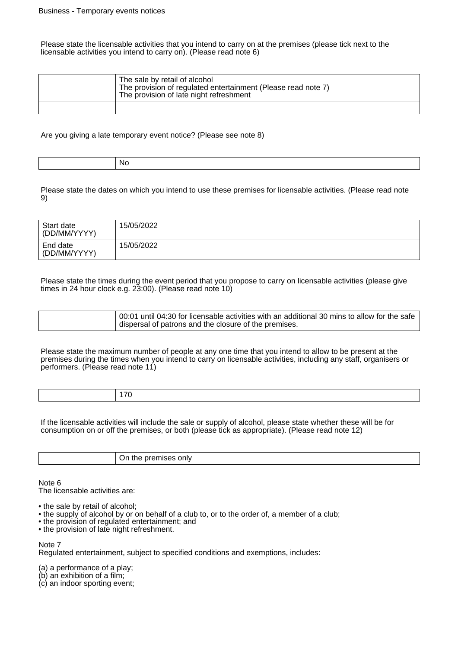Please state the licensable activities that you intend to carry on at the premises (please tick next to the licensable activities you intend to carry on). (Please read note 6)

| The sale by retail of alcohol<br>The provision of regulated entertainment (Please read note 7)<br>The provision of late night refreshment |
|-------------------------------------------------------------------------------------------------------------------------------------------|
|                                                                                                                                           |

Are you giving a late temporary event notice? (Please see note 8)

| .NG<br>$\cdot$ $\cdot$ $\cdot$ |  |
|--------------------------------|--|

Please state the dates on which you intend to use these premises for licensable activities. (Please read note 9)

| Start date<br>(DD/MM/YYYY) | 15/05/2022 |
|----------------------------|------------|
| End date<br>(DD/MM/YYYY)   | 15/05/2022 |

Please state the times during the event period that you propose to carry on licensable activities (please give times in 24 hour clock e.g. 23:00). (Please read note 10)

| 00:01 until 04:30 for licensable activities with an additional 30 mins to allow for the safe<br>dispersal of patrons and the closure of the premises. |  |
|-------------------------------------------------------------------------------------------------------------------------------------------------------|--|
|-------------------------------------------------------------------------------------------------------------------------------------------------------|--|

Please state the maximum number of people at any one time that you intend to allow to be present at the premises during the times when you intend to carry on licensable activities, including any staff, organisers or performers. (Please read note 11)

|  |  | $\overline{\phantom{a}}$ |
|--|--|--------------------------|
|--|--|--------------------------|

If the licensable activities will include the sale or supply of alcohol, please state whether these will be for consumption on or off the premises, or both (please tick as appropriate). (Please read note 12)

| ш<br>____ |
|-----------|
|           |

Note 6

The licensable activities are:

- the sale by retail of alcohol;
- the supply of alcohol by or on behalf of a club to, or to the order of, a member of a club;
- the provision of regulated entertainment; and
- the provision of late night refreshment.

Note 7

Regulated entertainment, subject to specified conditions and exemptions, includes:

(a) a performance of a play;

- (b) an exhibition of a film;
- (c) an indoor sporting event;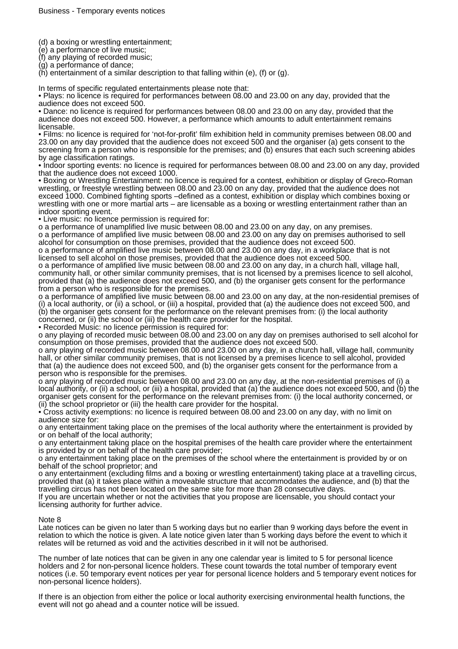(d) a boxing or wrestling entertainment;

(e) a performance of live music;

(f) any playing of recorded music;

(g) a performance of dance;

 $(h)$  entertainment of a similar description to that falling within (e), (f) or (g).

In terms of specific regulated entertainments please note that:

• Plays: no licence is required for performances between 08.00 and 23.00 on any day, provided that the audience does not exceed 500.

• Dance: no licence is required for performances between 08.00 and 23.00 on any day, provided that the audience does not exceed 500. However, a performance which amounts to adult entertainment remains licensable.

• Films: no licence is required for 'not-for-profit' film exhibition held in community premises between 08.00 and 23.00 on any day provided that the audience does not exceed 500 and the organiser (a) gets consent to the screening from a person who is responsible for the premises; and (b) ensures that each such screening abides by age classification ratings.

• Indoor sporting events: no licence is required for performances between 08.00 and 23.00 on any day, provided that the audience does not exceed 1000.

• Boxing or Wrestling Entertainment: no licence is required for a contest, exhibition or display of Greco-Roman wrestling, or freestyle wrestling between 08.00 and 23.00 on any day, provided that the audience does not exceed 1000. Combined fighting sports –defined as a contest, exhibition or display which combines boxing or wrestling with one or more martial arts – are licensable as a boxing or wrestling entertainment rather than an indoor sporting event.

• Live music: no licence permission is required for:

o a performance of unamplified live music between 08.00 and 23.00 on any day, on any premises. o a performance of amplified live music between 08.00 and 23.00 on any day on premises authorised to sell

alcohol for consumption on those premises, provided that the audience does not exceed 500. o a performance of amplified live music between 08.00 and 23.00 on any day, in a workplace that is not licensed to sell alcohol on those premises, provided that the audience does not exceed 500.

o a performance of amplified live music between 08.00 and 23.00 on any day, in a church hall, village hall, community hall, or other similar community premises, that is not licensed by a premises licence to sell alcohol, provided that (a) the audience does not exceed 500, and (b) the organiser gets consent for the performance from a person who is responsible for the premises.

o a performance of amplified live music between 08.00 and 23.00 on any day, at the non-residential premises of (i) a local authority, or (ii) a school, or (iii) a hospital, provided that (a) the audience does not exceed 500, and (b) the organiser gets consent for the performance on the relevant premises from: (i) the local authority concerned, or (ii) the school or (iii) the health care provider for the hospital.

• Recorded Music: no licence permission is required for:

o any playing of recorded music between 08.00 and 23.00 on any day on premises authorised to sell alcohol for consumption on those premises, provided that the audience does not exceed 500.

o any playing of recorded music between 08.00 and 23.00 on any day, in a church hall, village hall, community hall, or other similar community premises, that is not licensed by a premises licence to sell alcohol, provided that (a) the audience does not exceed 500, and (b) the organiser gets consent for the performance from a person who is responsible for the premises.

o any playing of recorded music between 08.00 and 23.00 on any day, at the non-residential premises of (i) a local authority, or (ii) a school, or (iii) a hospital, provided that (a) the audience does not exceed 500, and (b) the organiser gets consent for the performance on the relevant premises from: (i) the local authority concerned, or (ii) the school proprietor or (iii) the health care provider for the hospital.

• Cross activity exemptions: no licence is required between 08.00 and 23.00 on any day, with no limit on audience size for:

o any entertainment taking place on the premises of the local authority where the entertainment is provided by or on behalf of the local authority;

o any entertainment taking place on the hospital premises of the health care provider where the entertainment is provided by or on behalf of the health care provider;

o any entertainment taking place on the premises of the school where the entertainment is provided by or on behalf of the school proprietor; and

o any entertainment (excluding films and a boxing or wrestling entertainment) taking place at a travelling circus, provided that (a) it takes place within a moveable structure that accommodates the audience, and (b) that the travelling circus has not been located on the same site for more than 28 consecutive days.

If you are uncertain whether or not the activities that you propose are licensable, you should contact your licensing authority for further advice.

### Note 8

Late notices can be given no later than 5 working days but no earlier than 9 working days before the event in relation to which the notice is given. A late notice given later than 5 working days before the event to which it relates will be returned as void and the activities described in it will not be authorised.

The number of late notices that can be given in any one calendar year is limited to 5 for personal licence holders and 2 for non-personal licence holders. These count towards the total number of temporary event notices (i.e. 50 temporary event notices per year for personal licence holders and 5 temporary event notices for non-personal licence holders).

If there is an objection from either the police or local authority exercising environmental health functions, the event will not go ahead and a counter notice will be issued.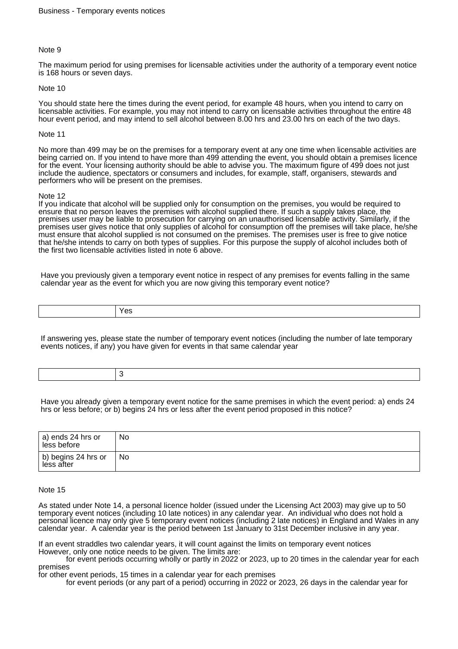The maximum period for using premises for licensable activities under the authority of a temporary event notice is 168 hours or seven days.

### Note 10

You should state here the times during the event period, for example 48 hours, when you intend to carry on licensable activities. For example, you may not intend to carry on licensable activities throughout the entire 48 hour event period, and may intend to sell alcohol between 8.00 hrs and 23.00 hrs on each of the two days.

### Note 11

No more than 499 may be on the premises for a temporary event at any one time when licensable activities are being carried on. If you intend to have more than 499 attending the event, you should obtain a premises licence for the event. Your licensing authority should be able to advise you. The maximum figure of 499 does not just include the audience, spectators or consumers and includes, for example, staff, organisers, stewards and performers who will be present on the premises.

### Note 12

If you indicate that alcohol will be supplied only for consumption on the premises, you would be required to ensure that no person leaves the premises with alcohol supplied there. If such a supply takes place, the premises user may be liable to prosecution for carrying on an unauthorised licensable activity. Similarly, if the premises user gives notice that only supplies of alcohol for consumption off the premises will take place, he/she must ensure that alcohol supplied is not consumed on the premises. The premises user is free to give notice that he/she intends to carry on both types of supplies. For this purpose the supply of alcohol includes both of the first two licensable activities listed in note 6 above.

Have you previously given a temporary event notice in respect of any premises for events falling in the same calendar year as the event for which you are now giving this temporary event notice?

| $\overline{ }$<br>__ |
|----------------------|
|----------------------|

If answering yes, please state the number of temporary event notices (including the number of late temporary events notices, if any) you have given for events in that same calendar year

Have you already given a temporary event notice for the same premises in which the event period: a) ends 24 hrs or less before; or b) begins 24 hrs or less after the event period proposed in this notice?

| $^\shortparallel$ a) ends 24 hrs or<br>less before | No |
|----------------------------------------------------|----|
| $ $ b) begins 24 hrs or<br>less after              | No |

#### Note 15

As stated under Note 14, a personal licence holder (issued under the Licensing Act 2003) may give up to 50 temporary event notices (including 10 late notices) in any calendar year. An individual who does not hold a personal licence may only give 5 temporary event notices (including 2 late notices) in England and Wales in any calendar year. A calendar year is the period between 1st January to 31st December inclusive in any year.

If an event straddles two calendar years, it will count against the limits on temporary event notices However, only one notice needs to be given. The limits are:

 for event periods occurring wholly or partly in 2022 or 2023, up to 20 times in the calendar year for each premises

for other event periods, 15 times in a calendar year for each premises

for event periods (or any part of a period) occurring in 2022 or 2023, 26 days in the calendar year for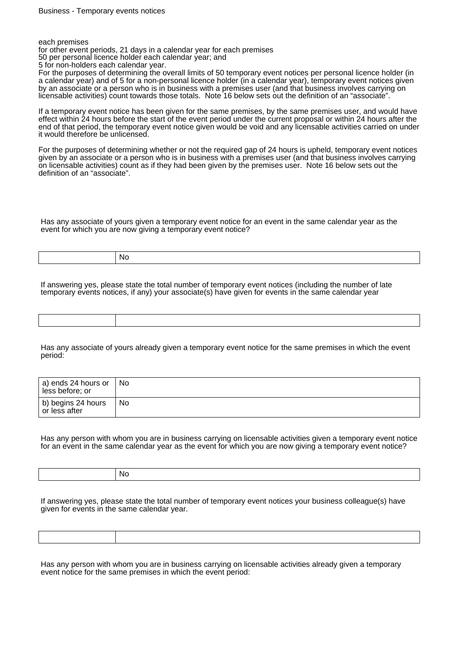each premises

for other event periods, 21 days in a calendar year for each premises

50 per personal licence holder each calendar year; and

5 for non-holders each calendar year.

For the purposes of determining the overall limits of 50 temporary event notices per personal licence holder (in a calendar year) and of 5 for a non-personal licence holder (in a calendar year), temporary event notices given by an associate or a person who is in business with a premises user (and that business involves carrying on licensable activities) count towards those totals. Note 16 below sets out the definition of an "associate".

If a temporary event notice has been given for the same premises, by the same premises user, and would have effect within 24 hours before the start of the event period under the current proposal or within 24 hours after the end of that period, the temporary event notice given would be void and any licensable activities carried on under it would therefore be unlicensed.

For the purposes of determining whether or not the required gap of 24 hours is upheld, temporary event notices given by an associate or a person who is in business with a premises user (and that business involves carrying on licensable activities) count as if they had been given by the premises user. Note 16 below sets out the definition of an "associate".

Has any associate of yours given a temporary event notice for an event in the same calendar year as the event for which you are now giving a temporary event notice?

No

If answering yes, please state the total number of temporary event notices (including the number of late temporary events notices, if any) your associate(s) have given for events in the same calendar year

Has any associate of yours already given a temporary event notice for the same premises in which the event period:

| a) ends 24 hours or<br>less before; or | No |
|----------------------------------------|----|
| b) begins 24 hours<br>or less after    | No |

Has any person with whom you are in business carrying on licensable activities given a temporary event notice for an event in the same calendar year as the event for which you are now giving a temporary event notice?

| - INC<br>. |
|------------|
|            |

If answering yes, please state the total number of temporary event notices your business colleague(s) have given for events in the same calendar year.

Has any person with whom you are in business carrying on licensable activities already given a temporary event notice for the same premises in which the event period: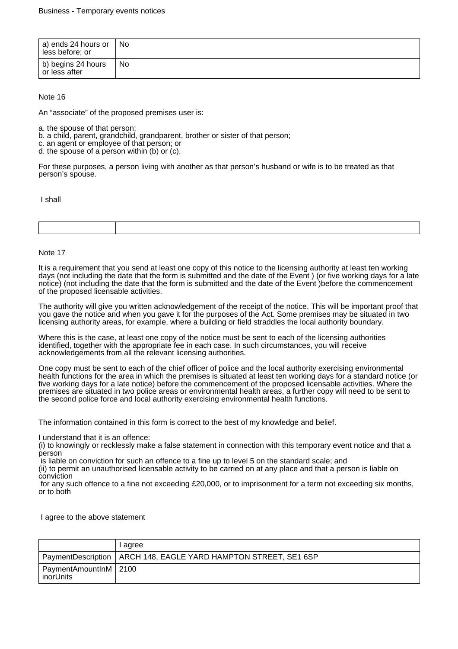| a) ends 24 hours or $\parallel$<br>less before; or | No |
|----------------------------------------------------|----|
| b) begins 24 hours<br>or less after                | No |

An "associate" of the proposed premises user is:

- a. the spouse of that person;
- b. a child, parent, grandchild, grandparent, brother or sister of that person;
- c. an agent or employee of that person; or
- d. the spouse of a person within (b) or (c).

For these purposes, a person living with another as that person's husband or wife is to be treated as that person's spouse.

I shall

### Note 17

It is a requirement that you send at least one copy of this notice to the licensing authority at least ten working days (not including the date that the form is submitted and the date of the Event ) (or five working days for a late notice) (not including the date that the form is submitted and the date of the Event )before the commencement of the proposed licensable activities.

The authority will give you written acknowledgement of the receipt of the notice. This will be important proof that you gave the notice and when you gave it for the purposes of the Act. Some premises may be situated in two licensing authority areas, for example, where a building or field straddles the local authority boundary.

Where this is the case, at least one copy of the notice must be sent to each of the licensing authorities identified, together with the appropriate fee in each case. In such circumstances, you will receive acknowledgements from all the relevant licensing authorities.

One copy must be sent to each of the chief officer of police and the local authority exercising environmental health functions for the area in which the premises is situated at least ten working days for a standard notice (or five working days for a late notice) before the commencement of the proposed licensable activities. Where the premises are situated in two police areas or environmental health areas, a further copy will need to be sent to the second police force and local authority exercising environmental health functions.

The information contained in this form is correct to the best of my knowledge and belief.

I understand that it is an offence:

(i) to knowingly or recklessly make a false statement in connection with this temporary event notice and that a person

is liable on conviction for such an offence to a fine up to level 5 on the standard scale; and

(ii) to permit an unauthorised licensable activity to be carried on at any place and that a person is liable on conviction

 for any such offence to a fine not exceeding £20,000, or to imprisonment for a term not exceeding six months, or to both

I agree to the above statement

|                                            | l agree                                                           |
|--------------------------------------------|-------------------------------------------------------------------|
|                                            | PaymentDescription   ARCH 148, EAGLE YARD HAMPTON STREET, SE1 6SP |
| PaymentAmountInM 2100<br><i>inor</i> Units |                                                                   |